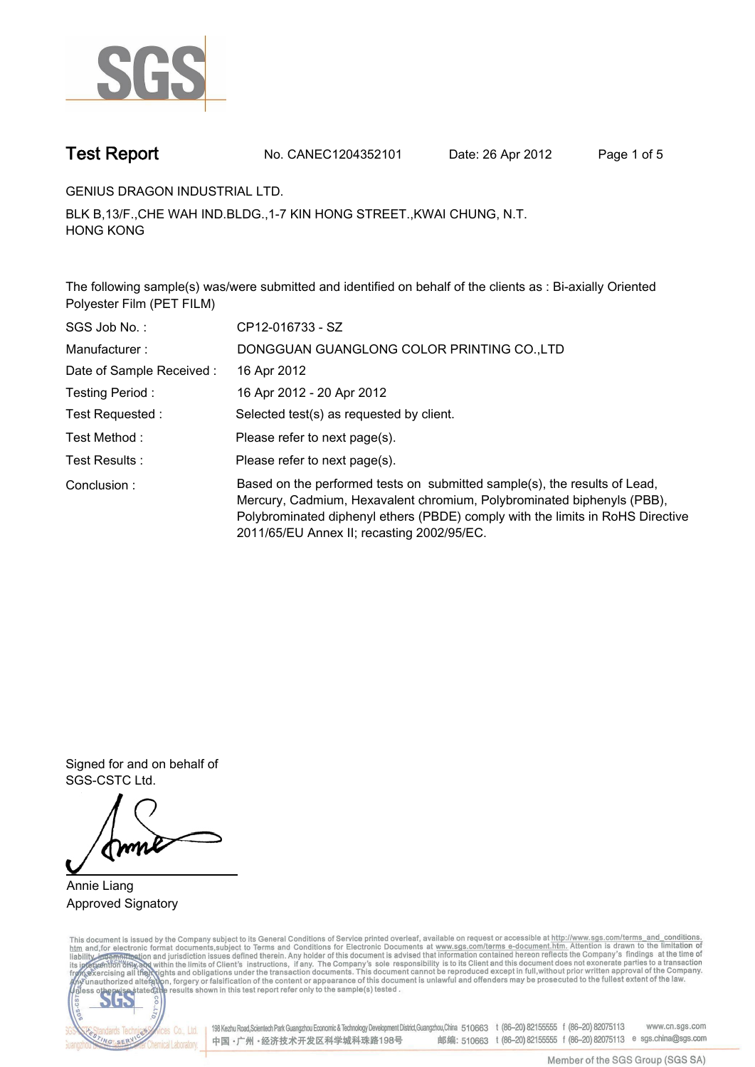

**Test Report. No. CANEC1204352101 Date: 26 Apr 2012. Page 1 of 5.**

**GENIUS DRAGON INDUSTRIAL LTD..**

**BLK B,13/F.,CHE WAH IND.BLDG.,1-7 KIN HONG STREET.,KWAI CHUNG, N.T. HONG KONG.**

**The following sample(s) was/were submitted and identified on behalf of the clients as : Bi-axially Oriented Polyester Film (PET FILM).**

| SGS Job No.:             | CP12-016733 - SZ                                                                                                                                                                                                                                                                    |  |  |  |  |
|--------------------------|-------------------------------------------------------------------------------------------------------------------------------------------------------------------------------------------------------------------------------------------------------------------------------------|--|--|--|--|
| Manufacturer:            | DONGGUAN GUANGLONG COLOR PRINTING CO., LTD                                                                                                                                                                                                                                          |  |  |  |  |
| Date of Sample Received: | 16 Apr 2012                                                                                                                                                                                                                                                                         |  |  |  |  |
| Testing Period:          | 16 Apr 2012 - 20 Apr 2012                                                                                                                                                                                                                                                           |  |  |  |  |
| Test Requested:          | Selected test(s) as requested by client.                                                                                                                                                                                                                                            |  |  |  |  |
| Test Method :            | Please refer to next page(s).                                                                                                                                                                                                                                                       |  |  |  |  |
| Test Results:            | Please refer to next page(s).                                                                                                                                                                                                                                                       |  |  |  |  |
| Conclusion:              | Based on the performed tests on submitted sample(s), the results of Lead,<br>Mercury, Cadmium, Hexavalent chromium, Polybrominated biphenyls (PBB),<br>Polybrominated diphenyl ethers (PBDE) comply with the limits in RoHS Directive<br>2011/65/EU Annex II; recasting 2002/95/EC. |  |  |  |  |

**Signed for and on behalf of SGS-CSTC Ltd..**

**Annie Liang. Approved Signatory.**

This document is issued by the Company subject to its General Conditions of Service printed overleaf, available on request or accessible at http://www.sgs.com/terms\_and\_conditions.<br>htm\_and, for electronic format documents,



198 Kezhu Road,Scientech Park Guangzhou Economic & Technology Development District,Guangzhou,China 510663 t (86-20) 82155555 f (86-20) 82075113 www.cn.sgs.com 邮编: 510663 t (86-20) 82155555 f (86-20) 82075113 e sgs.china@sgs.com 中国·广州·经济技术开发区科学城科珠路198号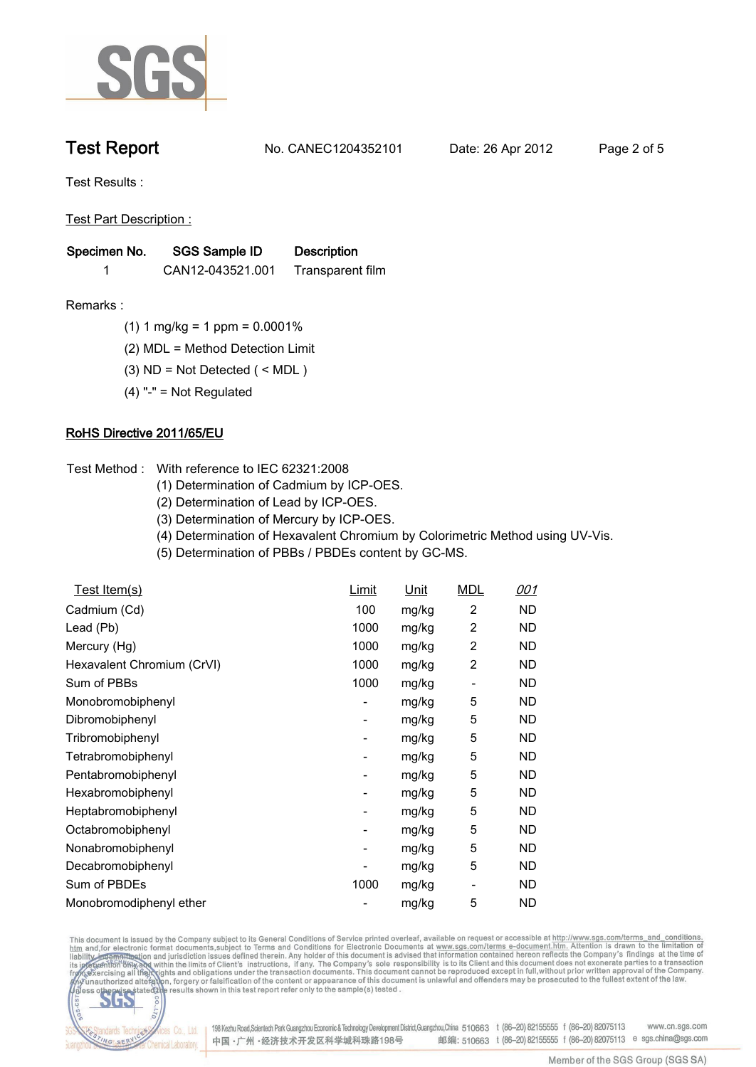

**Test Report. No. CANEC1204352101 Date: 26 Apr 2012. Page 2 of 5.**

**Test Results :.**

**Test Part Description :.**

| Specimen No. | SGS Sample ID    | <b>Description</b> |  |
|--------------|------------------|--------------------|--|
|              | CAN12-043521.001 | Transparent film   |  |

- **Remarks :.(1) 1 mg/kg = 1 ppm = 0.0001%.**
	- **(2) MDL = Method Detection Limit.**
	- **(3) ND = Not Detected ( < MDL ).**
	- **(4) "-" = Not Regulated.**

## **RoHS Directive 2011/65/EU.**

- **Test Method :. With reference to IEC 62321:2008**
	- **(1) Determination of Cadmium by ICP-OES.**
	- **(2) Determination of Lead by ICP-OES.**
	- **(3) Determination of Mercury by ICP-OES.**
	- **(4) Determination of Hexavalent Chromium by Colorimetric Method using UV-Vis.**
	- **(5) Determination of PBBs / PBDEs content by GC-MS..**

| Test Item(s)               | Limit                    | Unit  | <b>MDL</b>              | 001       |
|----------------------------|--------------------------|-------|-------------------------|-----------|
| Cadmium (Cd)               | 100                      | mg/kg | 2                       | ND        |
| Lead (Pb)                  | 1000                     | mg/kg | 2                       | ND.       |
| Mercury (Hg)               | 1000                     | mg/kg | $\overline{c}$          | ND.       |
| Hexavalent Chromium (CrVI) | 1000                     | mg/kg | $\overline{\mathbf{c}}$ | ND        |
| Sum of PBBs                | 1000                     | mg/kg |                         | ND        |
| Monobromobiphenyl          | -                        | mg/kg | 5                       | ND        |
| Dibromobiphenyl            | -                        | mg/kg | 5                       | ND        |
| Tribromobiphenyl           | $\overline{\phantom{0}}$ | mg/kg | 5                       | ND        |
| Tetrabromobiphenyl         | -                        | mg/kg | 5                       | ND        |
| Pentabromobiphenyl         | -                        | mg/kg | 5                       | ND        |
| Hexabromobiphenyl          | -                        | mg/kg | 5                       | ND        |
| Heptabromobiphenyl         | -                        | mg/kg | 5                       | ND        |
| Octabromobiphenyl          | -                        | mg/kg | 5                       | ND        |
| Nonabromobiphenyl          | ۰                        | mg/kg | 5                       | <b>ND</b> |
| Decabromobiphenyl          |                          | mg/kg | 5                       | ND.       |
| Sum of PBDEs               | 1000                     | mg/kg | -                       | ND.       |
| Monobromodiphenyl ether    |                          | mg/kg | 5                       | <b>ND</b> |

This document is issued by the Company subject to its General Conditions of Service printed overleaf, available on request or accessible at http://www.sgs.com/terms\_and\_conditions.<br>htm\_and,for electronic format documents,s



198 Kezhu Road,Scientech Park Guangzhou Economic & Technology Development District,Guangzhou,China 510663 t (86-20) 82155555 f (86-20) 82075113 www.cn.sgs.com 邮编: 510663 t (86-20) 82155555 f (86-20) 82075113 e sgs.china@sgs.com 中国·广州·经济技术开发区科学城科珠路198号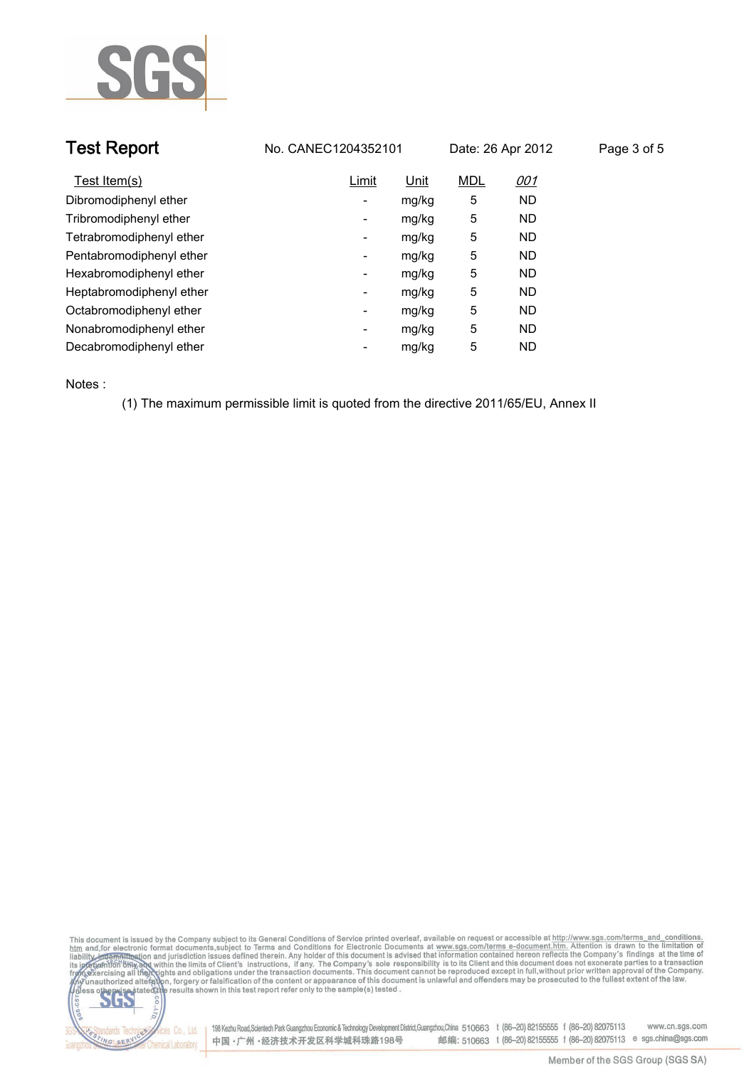

|                          |                     |                                                                                       | Page 3 of 5       |
|--------------------------|---------------------|---------------------------------------------------------------------------------------|-------------------|
| Limit                    | <b>MDL</b>          | <u>001</u>                                                                            |                   |
| $\overline{\phantom{a}}$ | 5                   | ND.                                                                                   |                   |
| ۰                        | 5                   | ND.                                                                                   |                   |
| -                        | 5                   | ND.                                                                                   |                   |
| -                        | 5                   | ND.                                                                                   |                   |
| $\overline{\phantom{a}}$ | 5                   | ND.                                                                                   |                   |
| $\overline{\phantom{a}}$ | 5                   | ND.                                                                                   |                   |
| $\overline{\phantom{a}}$ | 5                   | ND.                                                                                   |                   |
| ۰                        | 5                   | ND.                                                                                   |                   |
| -                        | 5                   | ND.                                                                                   |                   |
|                          | No. CANEC1204352101 | Unit<br>mg/kg<br>mg/kg<br>mg/kg<br>mg/kg<br>mg/kg<br>mg/kg<br>mg/kg<br>mg/kg<br>mg/kg | Date: 26 Apr 2012 |

**Notes :.**

**(1) The maximum permissible limit is quoted from the directive 2011/65/EU, Annex II.**





onces Co., Ltd. | 198 Kezhu Road,Scientech Park Guangzhou Economic & Technology Development District,Guangzhou,China 510663 t (86–20) 82155555 f (86–20) 82075113 www.cn.sgs.com 邮编: 510663 t (86-20) 82155555 f (86-20) 82075113 e sgs.china@sgs.com 中国·广州·经济技术开发区科学城科珠路198号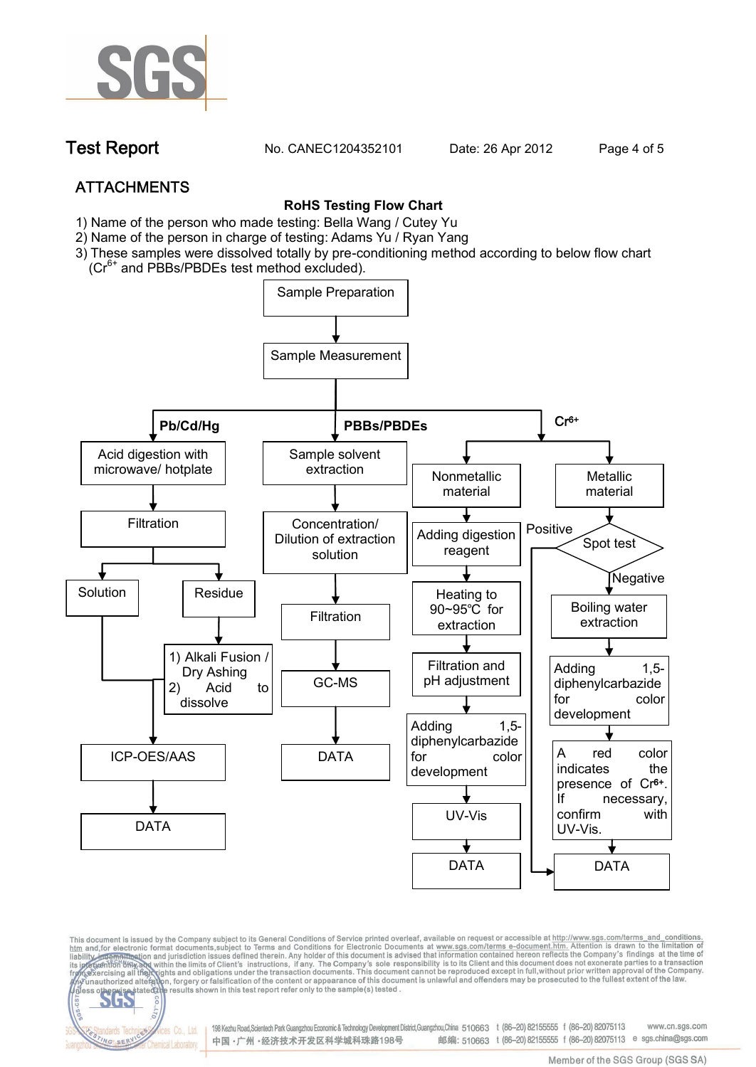

**Test Report. No. CANEC1204352101 Date: 26 Apr 2012. Page 4 of 5.**

# **ATTACHMENTS**

fices Co., Ltd.

Chemical Laboratory

NG SER

### **RoHS Testing Flow Chart**

- **1)** Name of the person who made testing: Bella Wang / **Cutey Yu**
- 2) Name of the person in charge of testing: Adams Yu / **Ryan Yang**
- 3) These samples were dissolved totally by pre-conditioning method according to below flow chart (Cr<sup>6+</sup> and PBBs/PBDEs test method excluded).



This document is issued by the Company subject to its General Conditions of Service printed overleaf, available on request or accessible at http://www.sgs.com/terms\_and\_conditions.<br>htm\_and,for electronic format documents,s

198 Kezhu Road,Scientech Park Guangzhou Economic & Technology Development District,Guangzhou,China 510663 t (86-20) 82155555 f (86-20) 82075113 www.cn.sas.com 邮编: 510663 t (86-20) 82155555 f (86-20) 82075113 e sgs.china@sgs.com 中国·广州·经济技术开发区科学城科珠路198号